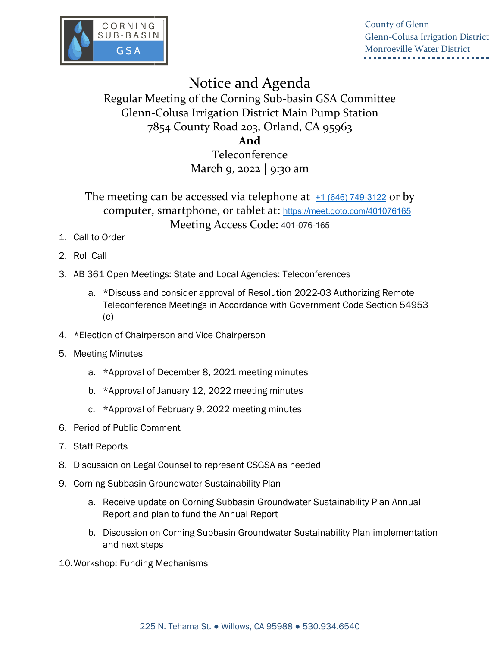

County of Glenn Glenn-Colusa Irrigation District Monroeville Water District

## Notice and Agenda

Regular Meeting of the Corning Sub-basin GSA Committee Glenn-Colusa Irrigation District Main Pump Station 7854 County Road 203, Orland, CA 95963

## **And**

Teleconference March 9, 2022 | 9:30 am

The meeting can be accessed via telephone at  $\pm 1$  (646) 749-3122 or by computer, smartphone, or tablet at: <https://meet.goto.com/401076165> Meeting Access Code: 401-076-165

- 1. Call to Order
- 2. Roll Call
- 3. AB 361 Open Meetings: State and Local Agencies: Teleconferences
	- a. \*Discuss and consider approval of Resolution 2022-03 Authorizing Remote Teleconference Meetings in Accordance with Government Code Section 54953 (e)
- 4. \*Election of Chairperson and Vice Chairperson
- 5. Meeting Minutes
	- a. \*Approval of December 8, 2021 meeting minutes
	- b. \*Approval of January 12, 2022 meeting minutes
	- c. \*Approval of February 9, 2022 meeting minutes
- 6. Period of Public Comment
- 7. Staff Reports
- 8. Discussion on Legal Counsel to represent CSGSA as needed
- 9. Corning Subbasin Groundwater Sustainability Plan
	- a. Receive update on Corning Subbasin Groundwater Sustainability Plan Annual Report and plan to fund the Annual Report
	- b. Discussion on Corning Subbasin Groundwater Sustainability Plan implementation and next steps
- 10.Workshop: Funding Mechanisms